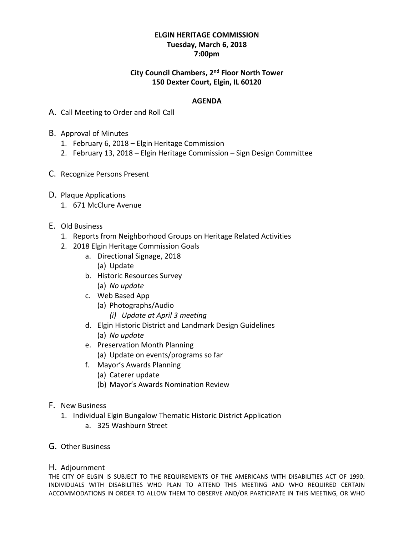## **ELGIN HERITAGE COMMISSION Tuesday, March 6, 2018 7:00pm**

## **City Council Chambers, 2 nd Floor North Tower 150 Dexter Court, Elgin, IL 60120**

## **AGENDA**

- A. Call Meeting to Order and Roll Call
- B. Approval of Minutes
	- 1. February 6, 2018 Elgin Heritage Commission
	- 2. February 13, 2018 Elgin Heritage Commission Sign Design Committee
- C. Recognize Persons Present
- D. Plaque Applications
	- 1. 671 McClure Avenue
- E. Old Business
	- 1. Reports from Neighborhood Groups on Heritage Related Activities
	- 2. 2018 Elgin Heritage Commission Goals
		- a. Directional Signage, 2018 (a) Update
		- b. Historic Resources Survey (a) *No update*
		- c. Web Based App
			- (a) Photographs/Audio
				- *(i) Update at April 3 meeting*
		- d. Elgin Historic District and Landmark Design Guidelines (a) *No update*
		- e. Preservation Month Planning
			- (a) Update on events/programs so far
		- f. Mayor's Awards Planning
			- (a) Caterer update
			- (b) Mayor's Awards Nomination Review
- F. New Business
	- 1. Individual Elgin Bungalow Thematic Historic District Application
		- a. 325 Washburn Street
- G. Other Business

## H. Adjournment

THE CITY OF ELGIN IS SUBJECT TO THE REQUIREMENTS OF THE AMERICANS WITH DISABILITIES ACT OF 1990. INDIVIDUALS WITH DISABILITIES WHO PLAN TO ATTEND THIS MEETING AND WHO REQUIRED CERTAIN ACCOMMODATIONS IN ORDER TO ALLOW THEM TO OBSERVE AND/OR PARTICIPATE IN THIS MEETING, OR WHO